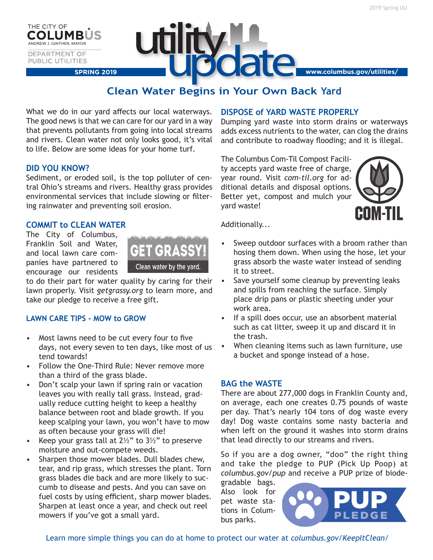THE CITY OF ANDREW J. GINTHER, MAYOR **DEPARTMENT OF PUBLIC UTILITIES** 

# **UD SPRING 2019 www.columbus.gov/utilities/**

# **Clean Water Begins in Your Own Back Yard**

What we do in our yard affects our local waterways. The good news is that we can care for our yard in a way that prevents pollutants from going into local streams and rivers. Clean water not only looks good, it's vital to life. Below are some ideas for your home turf.

# **DID YOU KNOW?**

Sediment, or eroded soil, is the top polluter of central Ohio's streams and rivers. Healthy grass provides environmental services that include slowing or filtering rainwater and preventing soil erosion.

# **COMMIT to CLEAN WATER**

The City of Columbus, Franklin Soil and Water, and local lawn care companies have partnered to encourage our residents



to do their part for water quality by caring for their lawn properly. Visit *getgrassy.org* to learn more, and take our pledge to receive a free gift.

# **LAWN CARE TIPS - MOW to GROW**

- Most lawns need to be cut every four to five days, not every seven to ten days, like most of us tend towards!
- Follow the One-Third Rule: Never remove more than a third of the grass blade.
- Don't scalp your lawn if spring rain or vacation leaves you with really tall grass. Instead, gradually reduce cutting height to keep a healthy balance between root and blade growth. If you keep scalping your lawn, you won't have to mow as often because your grass will die!
- Keep your grass tall at  $2\frac{1}{2}$ " to 3 $\frac{1}{2}$ " to preserve moisture and out-compete weeds.
- Sharpen those mower blades. Dull blades chew, tear, and rip grass, which stresses the plant. Torn grass blades die back and are more likely to succumb to disease and pests. And you can save on fuel costs by using efficient, sharp mower blades. Sharpen at least once a year, and check out reel mowers if you've got a small yard.

# **DISPOSE of YARD WASTE PROPERLY**

Dumping yard waste into storm drains or waterways adds excess nutrients to the water, can clog the drains and contribute to roadway flooding; and it is illegal.

The Columbus Com-Til Compost Facility accepts yard waste free of charge, year round. Visit *com-til.org* for additional details and disposal options. Better yet, compost and mulch your yard waste!



Additionally...

- Sweep outdoor surfaces with a broom rather than hosing them down. When using the hose, let your grass absorb the waste water instead of sending it to street.
- Save yourself some cleanup by preventing leaks and spills from reaching the surface. Simply place drip pans or plastic sheeting under your work area.
- If a spill does occur, use an absorbent material such as cat litter, sweep it up and discard it in the trash.
- When cleaning items such as lawn furniture, use a bucket and sponge instead of a hose.

#### **BAG the WASTE**

There are about 277,000 dogs in Franklin County and, on average, each one creates 0.75 pounds of waste per day. That's nearly 104 tons of dog waste every day! Dog waste contains some nasty bacteria and when left on the ground it washes into storm drains that lead directly to our streams and rivers.

So if you are a dog owner, "doo" the right thing and take the pledge to PUP (Pick Up Poop) at *columbus.gov/pup* and receive a PUP prize of biode-

gradable bags. Also look for pet waste stations in Columbus parks.



Learn more simple things you can do at home to protect our water at *columbus.gov/KeepItClean/*